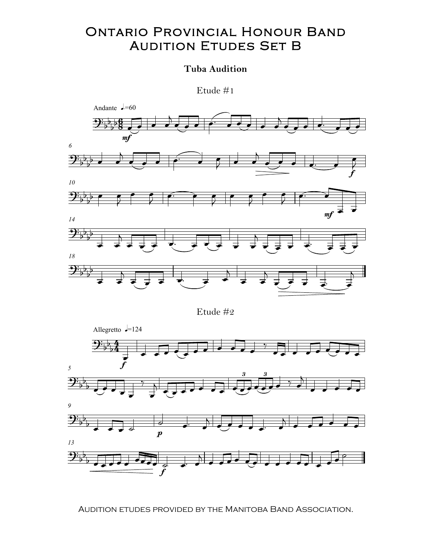## Ontario Provincial Honour Band Ontario Provincial Honour Band AUDITION ETUDES SET B Manitoba Internet datum

## Tuba Audition

Etude #1



Audition etudes provided by the Manitoba Band Association. Audition etudes provided by the Manitoba Band Association.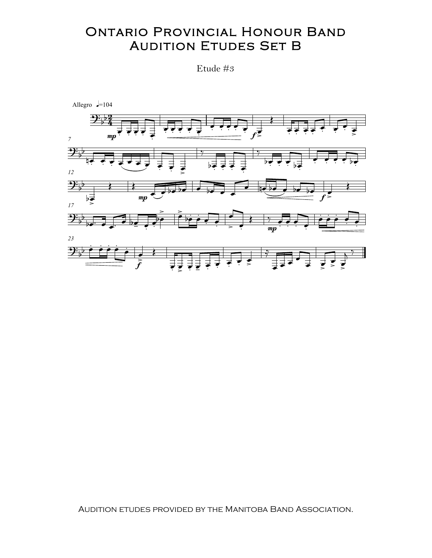## **ONTARIO PROVINCIAL HONOUR BAND AUDITION ETUDES SET B**

Etude #3



AUDITION ETUDES PROVIDED BY THE MANITOBA BAND ASSOCIATION.